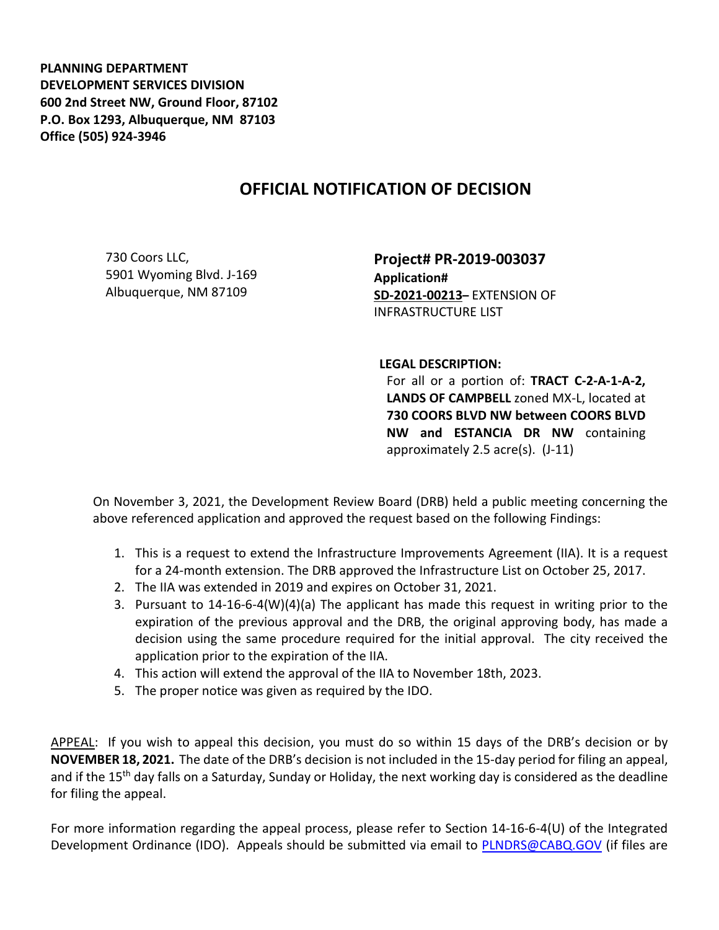**PLANNING DEPARTMENT DEVELOPMENT SERVICES DIVISION 600 2nd Street NW, Ground Floor, 87102 P.O. Box 1293, Albuquerque, NM 87103 Office (505) 924-3946** 

## **OFFICIAL NOTIFICATION OF DECISION**

730 Coors LLC, 5901 Wyoming Blvd. J-169 Albuquerque, NM 87109

**Project# PR-2019-003037 Application# SD-2021-00213–** EXTENSION OF INFRASTRUCTURE LIST

**LEGAL DESCRIPTION:**

For all or a portion of: **TRACT C-2-A-1-A-2, LANDS OF CAMPBELL** zoned MX-L, located at **730 COORS BLVD NW between COORS BLVD NW and ESTANCIA DR NW** containing approximately 2.5 acre(s). (J-11)

On November 3, 2021, the Development Review Board (DRB) held a public meeting concerning the above referenced application and approved the request based on the following Findings:

- 1. This is a request to extend the Infrastructure Improvements Agreement (IIA). It is a request for a 24-month extension. The DRB approved the Infrastructure List on October 25, 2017.
- 2. The IIA was extended in 2019 and expires on October 31, 2021.
- 3. Pursuant to 14-16-6-4(W)(4)(a) The applicant has made this request in writing prior to the expiration of the previous approval and the DRB, the original approving body, has made a decision using the same procedure required for the initial approval. The city received the application prior to the expiration of the IIA.
- 4. This action will extend the approval of the IIA to November 18th, 2023.
- 5. The proper notice was given as required by the IDO.

APPEAL: If you wish to appeal this decision, you must do so within 15 days of the DRB's decision or by **NOVEMBER 18, 2021.** The date of the DRB's decision is not included in the 15-day period for filing an appeal, and if the 15<sup>th</sup> day falls on a Saturday, Sunday or Holiday, the next working day is considered as the deadline for filing the appeal.

For more information regarding the appeal process, please refer to Section 14-16-6-4(U) of the Integrated Development Ordinance (IDO). Appeals should be submitted via email to [PLNDRS@CABQ.GOV](mailto:PLNDRS@CABQ.GOV) (if files are